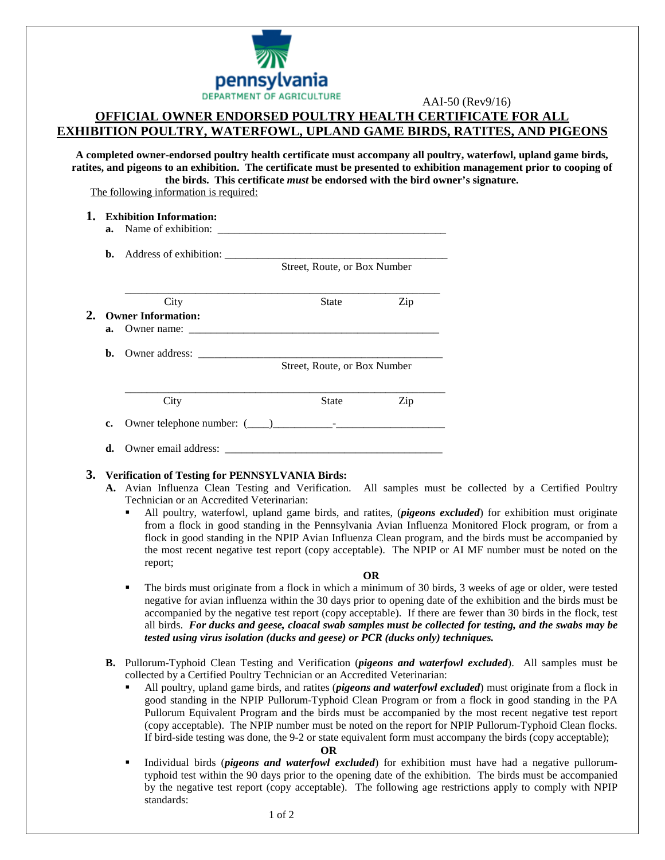

# **OFFICIAL OWNER ENDORSED POULTRY HEALTH CERTIFICATE FOR ALL EXHIBITION POULTRY, WATERFOWL, UPLAND GAME BIRDS, RATITES, AND PIGEONS**

**A completed owner-endorsed poultry health certificate must accompany all poultry, waterfowl, upland game birds, ratites, and pigeons to an exhibition. The certificate must be presented to exhibition management prior to cooping of the birds. This certificate** *must* **be endorsed with the bird owner's signature.**

The following information is required:

**1. Exhibition Information:**

| $a_{\cdot}$ | Name of exhibition:                                              |                              |     |  |
|-------------|------------------------------------------------------------------|------------------------------|-----|--|
|             | <b>b.</b> Address of exhibition:<br>Street, Route, or Box Number |                              |     |  |
|             | City                                                             | <b>State</b>                 | Zip |  |
|             | <b>Owner Information:</b>                                        |                              |     |  |
| a.          | Owner name:                                                      |                              |     |  |
| b.          |                                                                  |                              |     |  |
|             |                                                                  | Street, Route, or Box Number |     |  |
|             | City                                                             | <b>State</b>                 | Zip |  |
| c.          |                                                                  |                              |     |  |
| d.          | Owner email address:                                             |                              |     |  |

## **3. Verification of Testing for PENNSYLVANIA Birds:**

- **A.** Avian Influenza Clean Testing and Verification. All samples must be collected by a Certified Poultry Technician or an Accredited Veterinarian:
	- All poultry, waterfowl, upland game birds, and ratites, (*pigeons excluded*) for exhibition must originate from a flock in good standing in the Pennsylvania Avian Influenza Monitored Flock program, or from a flock in good standing in the NPIP Avian Influenza Clean program, and the birds must be accompanied by the most recent negative test report (copy acceptable). The NPIP or AI MF number must be noted on the report;

#### **OR**

- The birds must originate from a flock in which a minimum of 30 birds, 3 weeks of age or older, were tested negative for avian influenza within the 30 days prior to opening date of the exhibition and the birds must be accompanied by the negative test report (copy acceptable). If there are fewer than 30 birds in the flock, test all birds. *For ducks and geese, cloacal swab samples must be collected for testing, and the swabs may be tested using virus isolation (ducks and geese) or PCR (ducks only) techniques.*
- **B.** Pullorum-Typhoid Clean Testing and Verification (*pigeons and waterfowl excluded*). All samples must be collected by a Certified Poultry Technician or an Accredited Veterinarian:
	- All poultry, upland game birds, and ratites (*pigeons and waterfowl excluded*) must originate from a flock in good standing in the NPIP Pullorum-Typhoid Clean Program or from a flock in good standing in the PA Pullorum Equivalent Program and the birds must be accompanied by the most recent negative test report (copy acceptable). The NPIP number must be noted on the report for NPIP Pullorum-Typhoid Clean flocks. If bird-side testing was done, the 9-2 or state equivalent form must accompany the birds (copy acceptable);

### **OR**

 Individual birds (*pigeons and waterfowl excluded*) for exhibition must have had a negative pullorumtyphoid test within the 90 days prior to the opening date of the exhibition. The birds must be accompanied by the negative test report (copy acceptable). The following age restrictions apply to comply with NPIP standards: